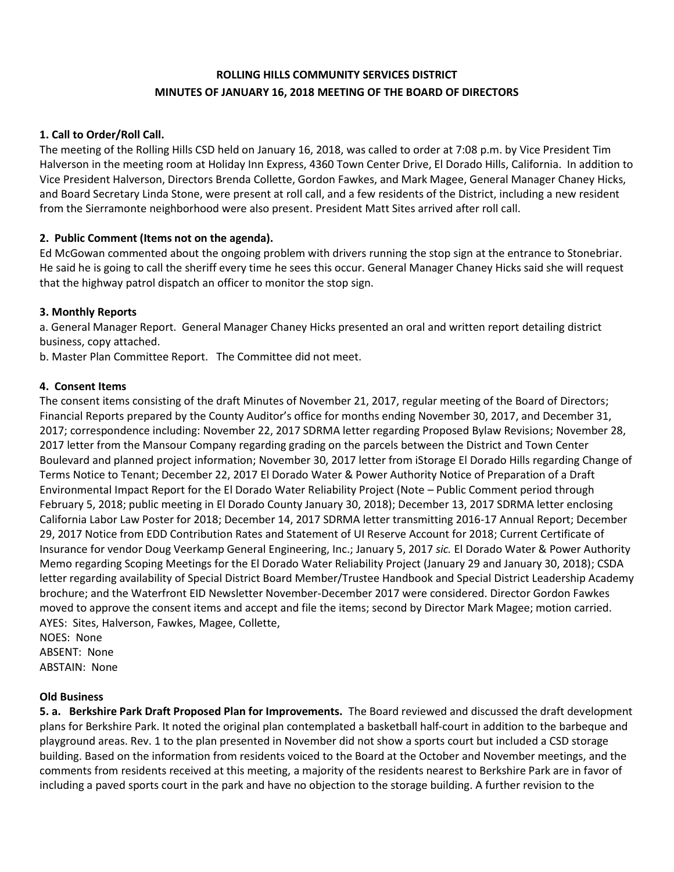# **ROLLING HILLS COMMUNITY SERVICES DISTRICT MINUTES OF JANUARY 16, 2018 MEETING OF THE BOARD OF DIRECTORS**

### **1. Call to Order/Roll Call.**

The meeting of the Rolling Hills CSD held on January 16, 2018, was called to order at 7:08 p.m. by Vice President Tim Halverson in the meeting room at Holiday Inn Express, 4360 Town Center Drive, El Dorado Hills, California. In addition to Vice President Halverson, Directors Brenda Collette, Gordon Fawkes, and Mark Magee, General Manager Chaney Hicks, and Board Secretary Linda Stone, were present at roll call, and a few residents of the District, including a new resident from the Sierramonte neighborhood were also present. President Matt Sites arrived after roll call.

## **2. Public Comment (Items not on the agenda).**

Ed McGowan commented about the ongoing problem with drivers running the stop sign at the entrance to Stonebriar. He said he is going to call the sheriff every time he sees this occur. General Manager Chaney Hicks said she will request that the highway patrol dispatch an officer to monitor the stop sign.

#### **3. Monthly Reports**

a. General Manager Report. General Manager Chaney Hicks presented an oral and written report detailing district business, copy attached.

b. Master Plan Committee Report. The Committee did not meet.

#### **4. Consent Items**

The consent items consisting of the draft Minutes of November 21, 2017, regular meeting of the Board of Directors; Financial Reports prepared by the County Auditor's office for months ending November 30, 2017, and December 31, 2017; correspondence including: November 22, 2017 SDRMA letter regarding Proposed Bylaw Revisions; November 28, 2017 letter from the Mansour Company regarding grading on the parcels between the District and Town Center Boulevard and planned project information; November 30, 2017 letter from iStorage El Dorado Hills regarding Change of Terms Notice to Tenant; December 22, 2017 El Dorado Water & Power Authority Notice of Preparation of a Draft Environmental Impact Report for the El Dorado Water Reliability Project (Note – Public Comment period through February 5, 2018; public meeting in El Dorado County January 30, 2018); December 13, 2017 SDRMA letter enclosing California Labor Law Poster for 2018; December 14, 2017 SDRMA letter transmitting 2016-17 Annual Report; December 29, 2017 Notice from EDD Contribution Rates and Statement of UI Reserve Account for 2018; Current Certificate of Insurance for vendor Doug Veerkamp General Engineering, Inc.; January 5, 2017 *sic.* El Dorado Water & Power Authority Memo regarding Scoping Meetings for the El Dorado Water Reliability Project (January 29 and January 30, 2018); CSDA letter regarding availability of Special District Board Member/Trustee Handbook and Special District Leadership Academy brochure; and the Waterfront EID Newsletter November-December 2017 were considered. Director Gordon Fawkes moved to approve the consent items and accept and file the items; second by Director Mark Magee; motion carried. AYES: Sites, Halverson, Fawkes, Magee, Collette,

NOES: None ABSENT: None ABSTAIN: None

#### **Old Business**

**5. a. Berkshire Park Draft Proposed Plan for Improvements.** The Board reviewed and discussed the draft development plans for Berkshire Park. It noted the original plan contemplated a basketball half-court in addition to the barbeque and playground areas. Rev. 1 to the plan presented in November did not show a sports court but included a CSD storage building. Based on the information from residents voiced to the Board at the October and November meetings, and the comments from residents received at this meeting, a majority of the residents nearest to Berkshire Park are in favor of including a paved sports court in the park and have no objection to the storage building. A further revision to the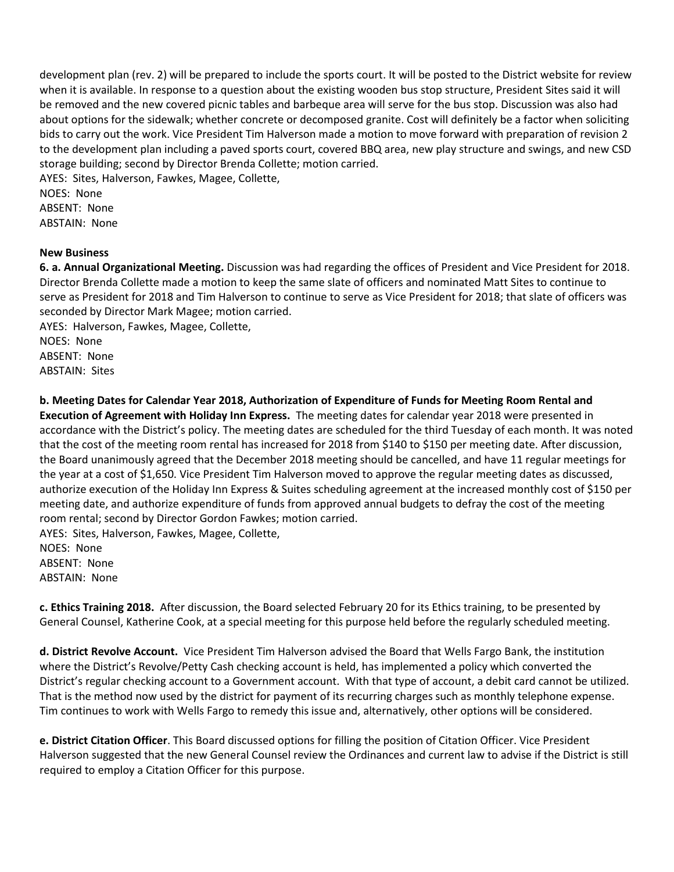development plan (rev. 2) will be prepared to include the sports court. It will be posted to the District website for review when it is available. In response to a question about the existing wooden bus stop structure, President Sites said it will be removed and the new covered picnic tables and barbeque area will serve for the bus stop. Discussion was also had about options for the sidewalk; whether concrete or decomposed granite. Cost will definitely be a factor when soliciting bids to carry out the work. Vice President Tim Halverson made a motion to move forward with preparation of revision 2 to the development plan including a paved sports court, covered BBQ area, new play structure and swings, and new CSD storage building; second by Director Brenda Collette; motion carried.

AYES: Sites, Halverson, Fawkes, Magee, Collette, NOES: None ABSENT: None ABSTAIN: None

#### **New Business**

**6. a. Annual Organizational Meeting.** Discussion was had regarding the offices of President and Vice President for 2018. Director Brenda Collette made a motion to keep the same slate of officers and nominated Matt Sites to continue to serve as President for 2018 and Tim Halverson to continue to serve as Vice President for 2018; that slate of officers was seconded by Director Mark Magee; motion carried.

AYES: Halverson, Fawkes, Magee, Collette, NOES: None ABSENT: None ABSTAIN: Sites

**b. Meeting Dates for Calendar Year 2018, Authorization of Expenditure of Funds for Meeting Room Rental and Execution of Agreement with Holiday Inn Express.** The meeting dates for calendar year 2018 were presented in accordance with the District's policy. The meeting dates are scheduled for the third Tuesday of each month. It was noted that the cost of the meeting room rental has increased for 2018 from \$140 to \$150 per meeting date. After discussion, the Board unanimously agreed that the December 2018 meeting should be cancelled, and have 11 regular meetings for the year at a cost of \$1,650. Vice President Tim Halverson moved to approve the regular meeting dates as discussed, authorize execution of the Holiday Inn Express & Suites scheduling agreement at the increased monthly cost of \$150 per meeting date, and authorize expenditure of funds from approved annual budgets to defray the cost of the meeting room rental; second by Director Gordon Fawkes; motion carried.

AYES: Sites, Halverson, Fawkes, Magee, Collette, NOES: None ABSENT: None ABSTAIN: None

**c. Ethics Training 2018.** After discussion, the Board selected February 20 for its Ethics training, to be presented by General Counsel, Katherine Cook, at a special meeting for this purpose held before the regularly scheduled meeting.

**d. District Revolve Account.** Vice President Tim Halverson advised the Board that Wells Fargo Bank, the institution where the District's Revolve/Petty Cash checking account is held, has implemented a policy which converted the District's regular checking account to a Government account. With that type of account, a debit card cannot be utilized. That is the method now used by the district for payment of its recurring charges such as monthly telephone expense. Tim continues to work with Wells Fargo to remedy this issue and, alternatively, other options will be considered.

**e. District Citation Officer**. This Board discussed options for filling the position of Citation Officer. Vice President Halverson suggested that the new General Counsel review the Ordinances and current law to advise if the District is still required to employ a Citation Officer for this purpose.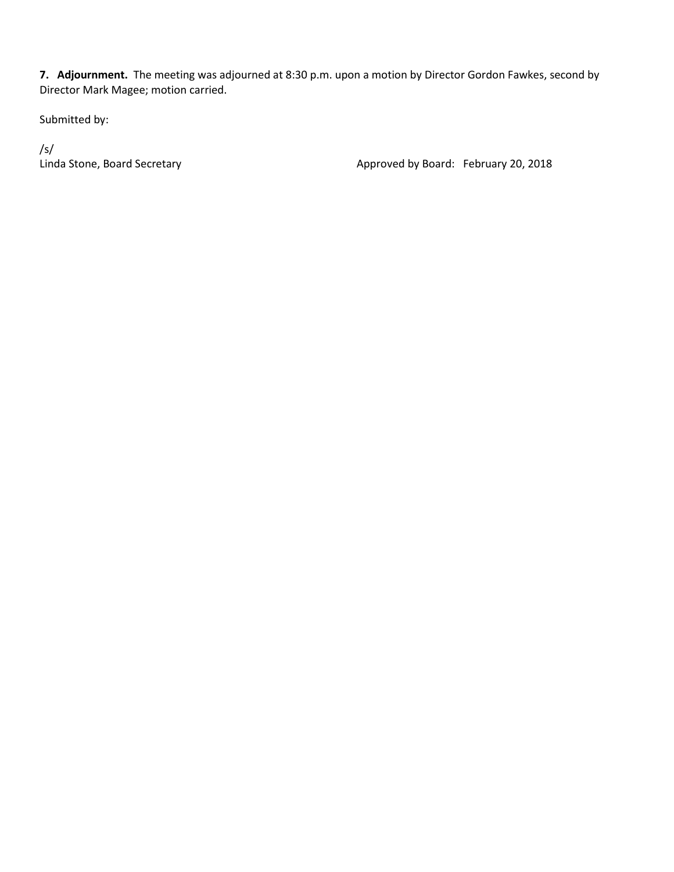**7. Adjournment.** The meeting was adjourned at 8:30 p.m. upon a motion by Director Gordon Fawkes, second by Director Mark Magee; motion carried.

Submitted by:

/s/

Linda Stone, Board Secretary **Approved by Board: February 20, 2018**